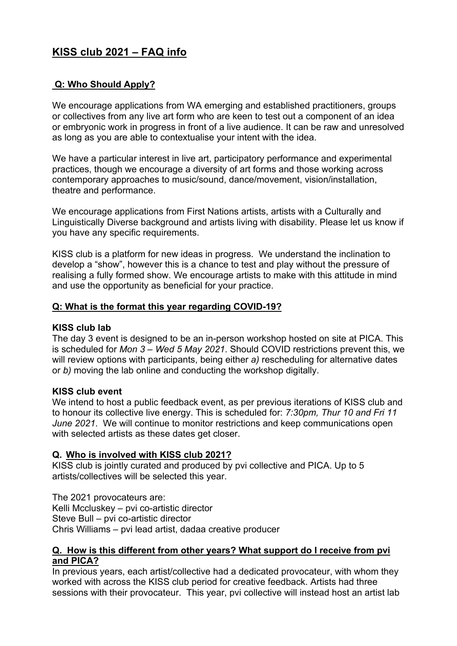# **KISS club 2021 – FAQ info**

# **Q: Who Should Apply?**

We encourage applications from WA emerging and established practitioners, groups or collectives from any live art form who are keen to test out a component of an idea or embryonic work in progress in front of a live audience. It can be raw and unresolved as long as you are able to contextualise your intent with the idea.

We have a particular interest in live art, participatory performance and experimental practices, though we encourage a diversity of art forms and those working across contemporary approaches to music/sound, dance/movement, vision/installation, theatre and performance.

We encourage applications from First Nations artists, artists with a Culturally and Linguistically Diverse background and artists living with disability. Please let us know if you have any specific requirements.

KISS club is a platform for new ideas in progress. We understand the inclination to develop a "show", however this is a chance to test and play without the pressure of realising a fully formed show. We encourage artists to make with this attitude in mind and use the opportunity as beneficial for your practice.

#### **Q: What is the format this year regarding COVID-19?**

#### **KISS club lab**

The day 3 event is designed to be an in-person workshop hosted on site at PICA. This is scheduled for *Mon 3 – Wed 5 May 2021*. Should COVID restrictions prevent this, we will review options with participants, being either *a)* rescheduling for alternative dates or *b)* moving the lab online and conducting the workshop digitally.

#### **KISS club event**

We intend to host a public feedback event, as per previous iterations of KISS club and to honour its collective live energy. This is scheduled for: *7:30pm, Thur 10 and Fri 11 June 2021*. We will continue to monitor restrictions and keep communications open with selected artists as these dates get closer.

#### **Q. Who is involved with KISS club 2021?**

KISS club is jointly curated and produced by pvi collective and PICA. Up to 5 artists/collectives will be selected this year.

The 2021 provocateurs are: Kelli Mccluskey – pvi co-artistic director Steve Bull – pvi co-artistic director Chris Williams – pvi lead artist, dadaa creative producer

#### **Q. How is this different from other years? What support do I receive from pvi and PICA?**

In previous years, each artist/collective had a dedicated provocateur, with whom they worked with across the KISS club period for creative feedback. Artists had three sessions with their provocateur. This year, pvi collective will instead host an artist lab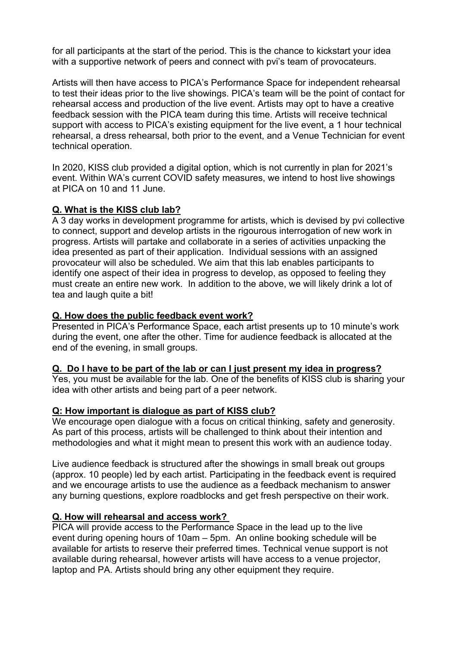for all participants at the start of the period. This is the chance to kickstart your idea with a supportive network of peers and connect with pvi's team of provocateurs.

Artists will then have access to PICA's Performance Space for independent rehearsal to test their ideas prior to the live showings. PICA's team will be the point of contact for rehearsal access and production of the live event. Artists may opt to have a creative feedback session with the PICA team during this time. Artists will receive technical support with access to PICA's existing equipment for the live event, a 1 hour technical rehearsal, a dress rehearsal, both prior to the event, and a Venue Technician for event technical operation.

In 2020, KISS club provided a digital option, which is not currently in plan for 2021's event. Within WA's current COVID safety measures, we intend to host live showings at PICA on 10 and 11 June.

#### **Q. What is the KISS club lab?**

A 3 day works in development programme for artists, which is devised by pvi collective to connect, support and develop artists in the rigourous interrogation of new work in progress. Artists will partake and collaborate in a series of activities unpacking the idea presented as part of their application. Individual sessions with an assigned provocateur will also be scheduled. We aim that this lab enables participants to identify one aspect of their idea in progress to develop, as opposed to feeling they must create an entire new work. In addition to the above, we will likely drink a lot of tea and laugh quite a bit!

#### **Q. How does the public feedback event work?**

Presented in PICA's Performance Space, each artist presents up to 10 minute's work during the event, one after the other. Time for audience feedback is allocated at the end of the evening, in small groups.

#### **Q. Do I have to be part of the lab or can I just present my idea in progress?**

Yes, you must be available for the lab. One of the benefits of KISS club is sharing your idea with other artists and being part of a peer network.

#### **Q: How important is dialogue as part of KISS club?**

We encourage open dialogue with a focus on critical thinking, safety and generosity. As part of this process, artists will be challenged to think about their intention and methodologies and what it might mean to present this work with an audience today.

Live audience feedback is structured after the showings in small break out groups (approx. 10 people) led by each artist. Participating in the feedback event is required and we encourage artists to use the audience as a feedback mechanism to answer any burning questions, explore roadblocks and get fresh perspective on their work.

#### **Q. How will rehearsal and access work?**

PICA will provide access to the Performance Space in the lead up to the live event during opening hours of 10am – 5pm. An online booking schedule will be available for artists to reserve their preferred times. Technical venue support is not available during rehearsal, however artists will have access to a venue projector, laptop and PA. Artists should bring any other equipment they require.